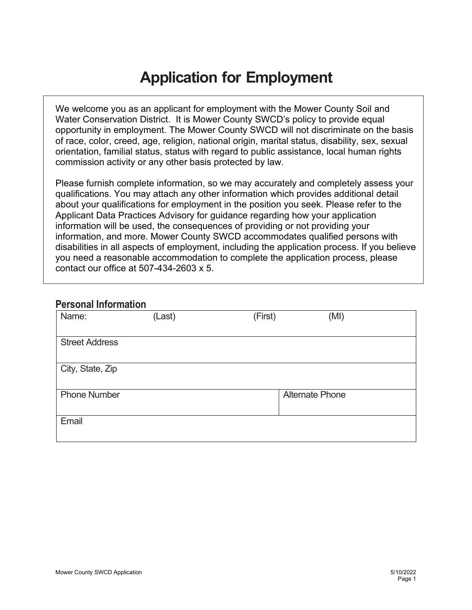## **Application for Employment**

We welcome you as an applicant for employment with the Mower County Soil and Water Conservation District. It is Mower County SWCD's policy to provide equal opportunity in employment. The Mower County SWCD will not discriminate on the basis of race, color, creed, age, religion, national origin, marital status, disability, sex, sexual orientation, familial status, status with regard to public assistance, local human rights commission activity or any other basis protected by law.

Please furnish complete information, so we may accurately and completely assess your qualifications. You may attach any other information which provides additional detail about your qualifications for employment in the position you seek. Please refer to the Applicant Data Practices Advisory for guidance regarding how your application information will be used, the consequences of providing or not providing your information, and more. Mower County SWCD accommodates qualified persons with disabilities in all aspects of employment, including the application process. If you believe you need a reasonable accommodation to complete the application process, please contact our office at 507-434-2603 x 5.

### **Personal Information**

| Name:                 | (Last) | (First) | (MI)                   |
|-----------------------|--------|---------|------------------------|
| <b>Street Address</b> |        |         |                        |
|                       |        |         |                        |
| City, State, Zip      |        |         |                        |
| <b>Phone Number</b>   |        |         | <b>Alternate Phone</b> |
| Email                 |        |         |                        |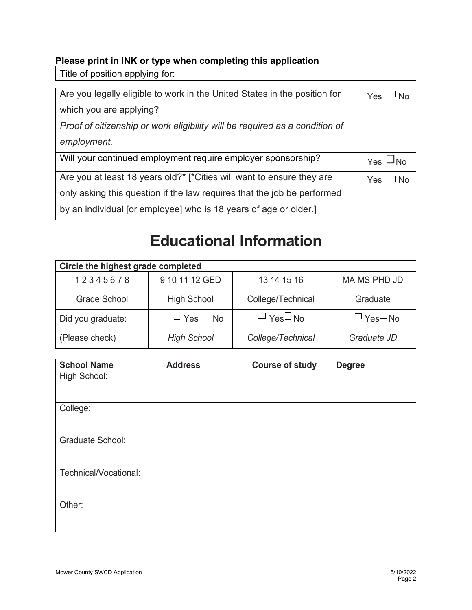### **Please print in INK or type when completing this application**

Title of position applying for:

| Are you legally eligible to work in the United States in the position for   | $\sqcup$ Yes<br>$\Box$ No |
|-----------------------------------------------------------------------------|---------------------------|
| which you are applying?                                                     |                           |
| Proof of citizenship or work eligibility will be required as a condition of |                           |
| employment.                                                                 |                           |
| Will your continued employment require employer sponsorship?                | $\Box$ Yes $\Box$ No      |
| Are you at least 18 years old?* [*Cities will want to ensure they are       | ∐ Yes ∟No                 |
| only asking this question if the law requires that the job be performed     |                           |
| by an individual [or employee] who is 18 years of age or older.]            |                           |

## **Educational Information**

| Circle the highest grade completed |                        |                      |                      |
|------------------------------------|------------------------|----------------------|----------------------|
| 12345678                           | 9 10 11 12 GED         | 13 14 15 16          | MA MS PHD JD         |
| Grade School                       | <b>High School</b>     | College/Technical    | Graduate             |
| Did you graduate:                  | $\sqcup$ Yes $\Box$ No | $\Box$ Yes $\Box$ No | $\Box$ Yes $\Box$ No |
| (Please check)                     | <b>High School</b>     | College/Technical    | Graduate JD          |

| <b>School Name</b>      | <b>Address</b> | <b>Course of study</b> | <b>Degree</b> |
|-------------------------|----------------|------------------------|---------------|
| High School:            |                |                        |               |
| College:                |                |                        |               |
| <b>Graduate School:</b> |                |                        |               |
| Technical/Vocational:   |                |                        |               |
| Other:                  |                |                        |               |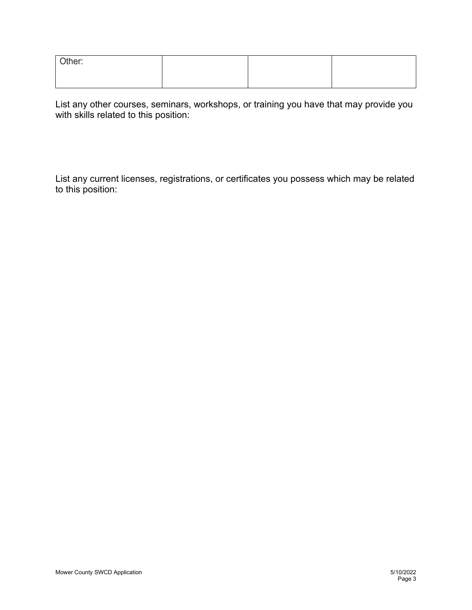| Other: |  |  |
|--------|--|--|
|        |  |  |

List any other courses, seminars, workshops, or training you have that may provide you with skills related to this position:

List any current licenses, registrations, or certificates you possess which may be related to this position: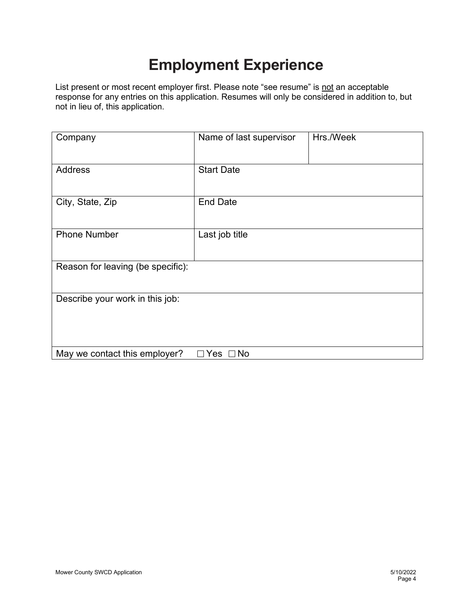## **Employment Experience**

List present or most recent employer first. Please note "see resume" is not an acceptable response for any entries on this application. Resumes will only be considered in addition to, but not in lieu of, this application.

| Company                           | Name of last supervisor | Hrs./Week |
|-----------------------------------|-------------------------|-----------|
| <b>Address</b>                    | <b>Start Date</b>       |           |
| City, State, Zip                  | <b>End Date</b>         |           |
| <b>Phone Number</b>               | Last job title          |           |
| Reason for leaving (be specific): |                         |           |
| Describe your work in this job:   |                         |           |
| May we contact this employer?     | Yes<br>$\square$ No     |           |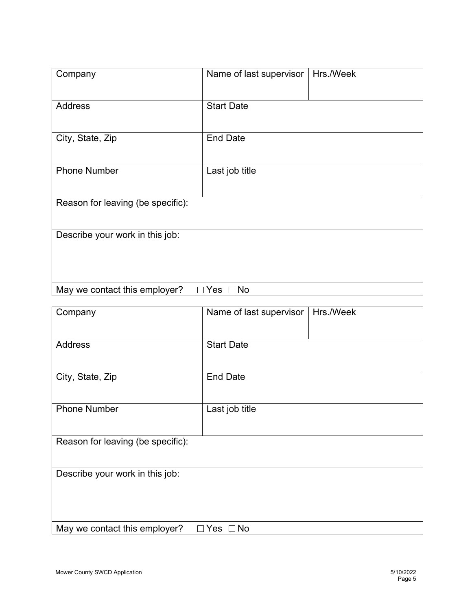| Company                           | Name of last supervisor | Hrs./Week |
|-----------------------------------|-------------------------|-----------|
| <b>Address</b>                    | <b>Start Date</b>       |           |
| City, State, Zip                  | <b>End Date</b>         |           |
| <b>Phone Number</b>               | Last job title          |           |
| Reason for leaving (be specific): |                         |           |
| Describe your work in this job:   |                         |           |
| May we contact this employer?     | $\Box$ Yes $\Box$ No    |           |

| Company                            | Name of last supervisor | Hrs./Week |
|------------------------------------|-------------------------|-----------|
| <b>Address</b>                     | <b>Start Date</b>       |           |
| City, State, Zip                   | <b>End Date</b>         |           |
| <b>Phone Number</b>                | Last job title          |           |
| Reason for leaving (be specific):  |                         |           |
| Describe your work in this job:    |                         |           |
| May we contact this employer?<br>П | Yes $\Box$ No           |           |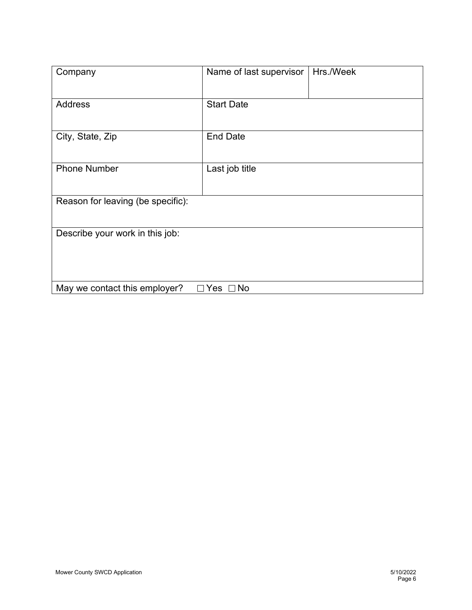| Company                            | Name of last supervisor | Hrs./Week |
|------------------------------------|-------------------------|-----------|
| <b>Address</b>                     | <b>Start Date</b>       |           |
| City, State, Zip                   | <b>End Date</b>         |           |
| <b>Phone Number</b>                | Last job title          |           |
| Reason for leaving (be specific):  |                         |           |
| Describe your work in this job:    |                         |           |
| May we contact this employer?<br>П | Yes $\Box$ No           |           |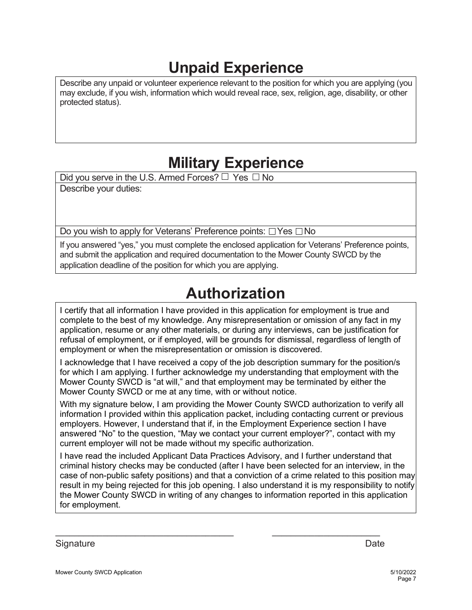## **Unpaid Experience**

Describe any unpaid or volunteer experience relevant to the position for which you are applying (you may exclude, if you wish, information which would reveal race, sex, religion, age, disability, or other protected status).

## **Military Experience**

Did you serve in the U.S. Armed Forces?  $\Box$  Yes  $\Box$  No

Describe your duties:

Do you wish to apply for Veterans' Preference points:  $\Box$  Yes  $\Box$  No

If you answered "yes," you must complete the enclosed application for Veterans' Preference points, and submit the application and required documentation to the Mower County SWCD by the application deadline of the position for which you are applying.

## **Authorization**

I certify that all information I have provided in this application for employment is true and complete to the best of my knowledge. Any misrepresentation or omission of any fact in my application, resume or any other materials, or during any interviews, can be justification for refusal of employment, or if employed, will be grounds for dismissal, regardless of length of employment or when the misrepresentation or omission is discovered.

I acknowledge that I have received a copy of the job description summary for the position/s for which I am applying. I further acknowledge my understanding that employment with the Mower County SWCD is "at will," and that employment may be terminated by either the Mower County SWCD or me at any time, with or without notice.

With my signature below, I am providing the Mower County SWCD authorization to verify all information I provided within this application packet, including contacting current or previous employers. However, I understand that if, in the Employment Experience section I have answered "No" to the question, "May we contact your current employer?", contact with my current employer will not be made without my specific authorization.

I have read the included Applicant Data Practices Advisory, and I further understand that criminal history checks may be conducted (after I have been selected for an interview, in the case of non-public safety positions) and that a conviction of a crime related to this position may result in my being rejected for this job opening. I also understand it is my responsibility to notify the Mower County SWCD in writing of any changes to information reported in this application for employment.

 $\_$  ,  $\_$  ,  $\_$  ,  $\_$  ,  $\_$  ,  $\_$  ,  $\_$  ,  $\_$  ,  $\_$  ,  $\_$  ,  $\_$  ,  $\_$  ,  $\_$  ,  $\_$  ,  $\_$  ,  $\_$  ,  $\_$  ,  $\_$  ,  $\_$ 

Signature Date **Date**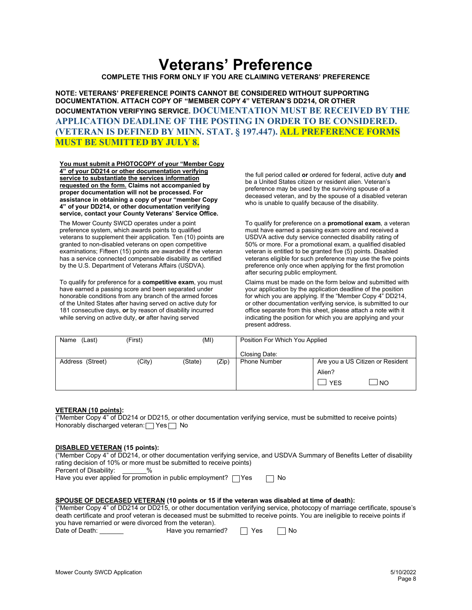### **Veterans' Preference**

**COMPLETE THIS FORM ONLY IF YOU ARE CLAIMING VETERANS' PREFERENCE**

**NOTE: VETERANS' PREFERENCE POINTS CANNOT BE CONSIDERED WITHOUT SUPPORTING DOCUMENTATION. ATTACH COPY OF "MEMBER COPY 4" VETERAN'S DD214, OR OTHER DOCUMENTATION VERIFYING SERVICE. DOCUMENTATION MUST BE RECEIVED BY THE APPLICATION DEADLINE OF THE POSTING IN ORDER TO BE CONSIDERED. (VETERAN IS DEFINED BY MINN. STAT. § 197.447). ALL PREFERENCE FORMS MUST BE SUMITTED BY JULY 8.**

**You must submit a PHOTOCOPY of your "Member Copy 4" of your DD214 or other documentation verifying service to substantiate the services information requested on the form. Claims not accompanied by proper documentation will not be processed. For assistance in obtaining a copy of your "member Copy 4" of your DD214, or other documentation verifying service, contact your County Veterans' Service Office.**

The Mower County SWCD operates under a point preference system, which awards points to qualified veterans to supplement their application. Ten (10) points are granted to non-disabled veterans on open competitive examinations; Fifteen (15) points are awarded if the veteran has a service connected compensable disability as certified by the U.S. Department of Veterans Affairs (USDVA).

To qualify for preference for a **competitive exam**, you must have earned a passing score and been separated under honorable conditions from any branch of the armed forces of the United States after having served on active duty for 181 consecutive days, **or** by reason of disability incurred while serving on active duty, **or** after having served

the full period called **or** ordered for federal, active duty **and** be a United States citizen or resident alien. Veteran's preference may be used by the surviving spouse of a deceased veteran, and by the spouse of a disabled veteran who is unable to qualify because of the disability.

To qualify for preference on a **promotional exam**, a veteran must have earned a passing exam score and received a USDVA active duty service connected disability rating of 50% or more. For a promotional exam, a qualified disabled veteran is entitled to be granted five (5) points. Disabled veterans eligible for such preference may use the five points preference only once when applying for the first promotion after securing public employment.

Claims must be made on the form below and submitted with your application by the application deadline of the position for which you are applying. If the "Member Copy 4" DD214, or other documentation verifying service, is submitted to our office separate from this sheet, please attach a note with it indicating the position for which you are applying and your present address.

| (Last)<br>Name   | (First) | (MI)    |       | Position For Which You Applied |                                  |
|------------------|---------|---------|-------|--------------------------------|----------------------------------|
|                  |         |         |       | Closing Date:                  |                                  |
| Address (Street) | (City)  | (State) | (Zip) | <b>Phone Number</b>            | Are you a US Citizen or Resident |
|                  |         |         |       |                                | Alien?                           |
|                  |         |         |       |                                | l NO<br><b>YES</b>               |

#### **VETERAN (10 points):**

("Member Copy 4" of DD214 or DD215, or other documentation verifying service, must be submitted to receive points) Honorably discharged veteran:  $\Box$  Yes  $\Box$  No

#### **DISABLED VETERAN (15 points):**

("Member Copy 4" of DD214, or other documentation verifying service, and USDVA Summary of Benefits Letter of disability rating decision of 10% or more must be submitted to receive points)<br>Percent of Disability: %

Percent of Disability:

Have you ever applied for promotion in public employment?  $\Box$  Yes  $\Box$  No

### **SPOUSE OF DECEASED VETERAN (10 points or 15 if the veteran was disabled at time of death):**

("Member Copy 4" of DD214 or DD215, or other documentation verifying service, photocopy of marriage certificate, spouse's death certificate and proof veteran is deceased must be submitted to receive points. You are ineligible to receive points if you have remarried or were divorced from the veteran).

| Date of Death: | Have you remarried? | l Yes | ' No |
|----------------|---------------------|-------|------|
|                |                     |       |      |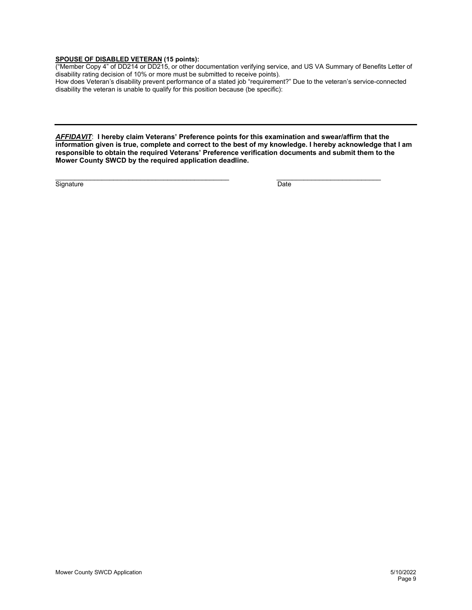### **SPOUSE OF DISABLED VETERAN (15 points):**

("Member Copy 4" of DD214 or DD215, or other documentation verifying service, and US VA Summary of Benefits Letter of disability rating decision of 10% or more must be submitted to receive points).

How does Veteran's disability prevent performance of a stated job "requirement?" Due to the veteran's service-connected disability the veteran is unable to qualify for this position because (be specific):

*AFFIDAVIT*: **I hereby claim Veterans' Preference points for this examination and swear/affirm that the information given is true, complete and correct to the best of my knowledge. I hereby acknowledge that I am responsible to obtain the required Veterans' Preference verification documents and submit them to the Mower County SWCD by the required application deadline.**

 $\overline{\phantom{a}}$  , and the set of the set of the set of the set of the set of the set of the set of the set of the set of the set of the set of the set of the set of the set of the set of the set of the set of the set of the s Signature Date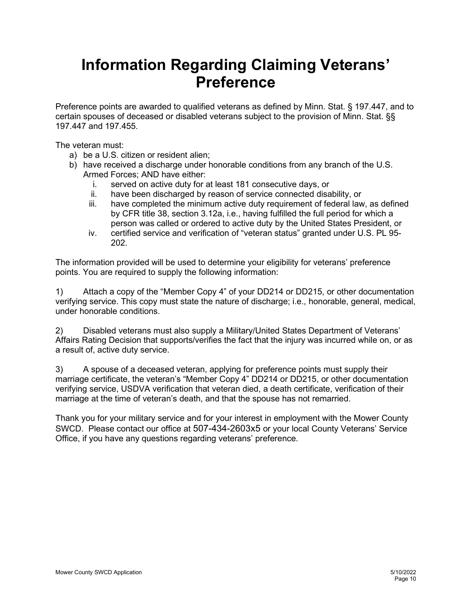## **Information Regarding Claiming Veterans' Preference**

Preference points are awarded to qualified veterans as defined by Minn. Stat. § 197.447, and to certain spouses of deceased or disabled veterans subject to the provision of Minn. Stat. §§ 197.447 and 197.455.

The veteran must:

- a) be a U.S. citizen or resident alien;
- b) have received a discharge under honorable conditions from any branch of the U.S. Armed Forces; AND have either:
	- i. served on active duty for at least 181 consecutive days, or
	- ii. have been discharged by reason of service connected disability, or
	- iii. have completed the minimum active duty requirement of federal law, as defined by CFR title 38, section 3.12a, i.e., having fulfilled the full period for which a person was called or ordered to active duty by the United States President, or
	- iv. certified service and verification of "veteran status" granted under U.S. PL 95- 202.

The information provided will be used to determine your eligibility for veterans' preference points. You are required to supply the following information:

1) Attach a copy of the "Member Copy 4" of your DD214 or DD215, or other documentation verifying service. This copy must state the nature of discharge; i.e., honorable, general, medical, under honorable conditions.

2) Disabled veterans must also supply a Military/United States Department of Veterans' Affairs Rating Decision that supports/verifies the fact that the injury was incurred while on, or as a result of, active duty service.

3) A spouse of a deceased veteran, applying for preference points must supply their marriage certificate, the veteran's "Member Copy 4" DD214 or DD215, or other documentation verifying service, USDVA verification that veteran died, a death certificate, verification of their marriage at the time of veteran's death, and that the spouse has not remarried.

Thank you for your military service and for your interest in employment with the Mower County SWCD. Please contact our office at 507-434-2603x5 or your local County Veterans' Service Office, if you have any questions regarding veterans' preference.